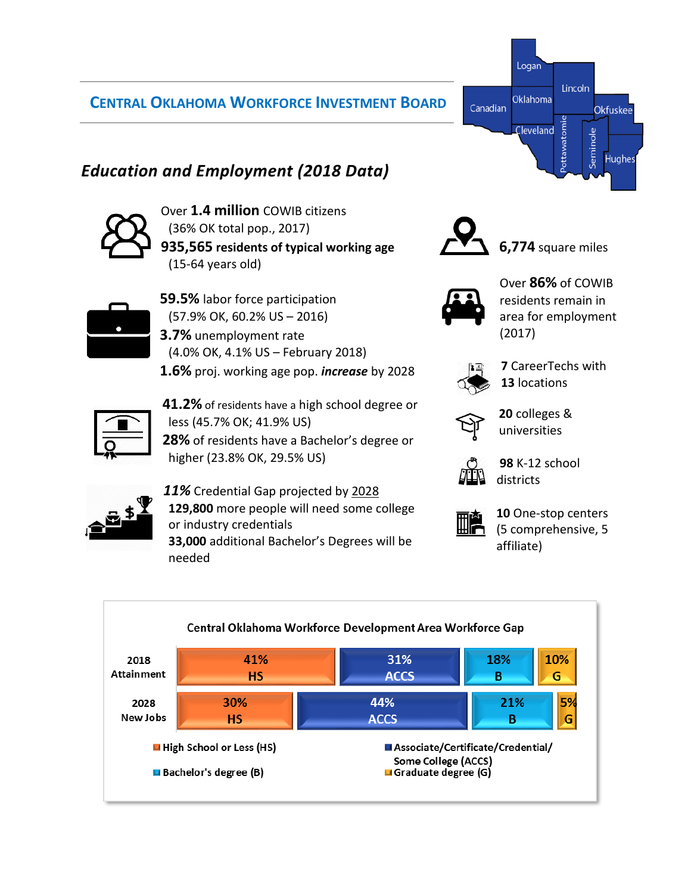## **CENTRAL OKLAHOMA WORKFORCE INVESTMENT BOARD**

## *Education and Employment (2018 Data)*



Over **1.4 million** COWIB citizens (36% OK total pop., 2017) **935,565 residents of typical working age** (15-64 years old)



- **59.5%** labor force participation (57.9% OK, 60.2% US – 2016) **3.7%** unemployment rate
- (4.0% OK, 4.1% US February 2018) **1.6%** proj. working age pop. *increase* by 2028

*11%* Credential Gap projected by 2028

or industry credentials

needed



**41.2%** of residents have a high school degree or less (45.7% OK; 41.9% US) **28%** of residents have a Bachelor's degree or higher (23.8% OK, 29.5% US)

**129,800** more people will need some college

**33,000** additional Bachelor's Degrees will be



Canadian

**6,774** square miles



Logan

Oklahoma

Cleveland

Lincoln

Okfuskee

**Hughes** 

Seminole



**7** CareerTechs with **13** locations



**20** colleges & universities



**98** K-12 school districts